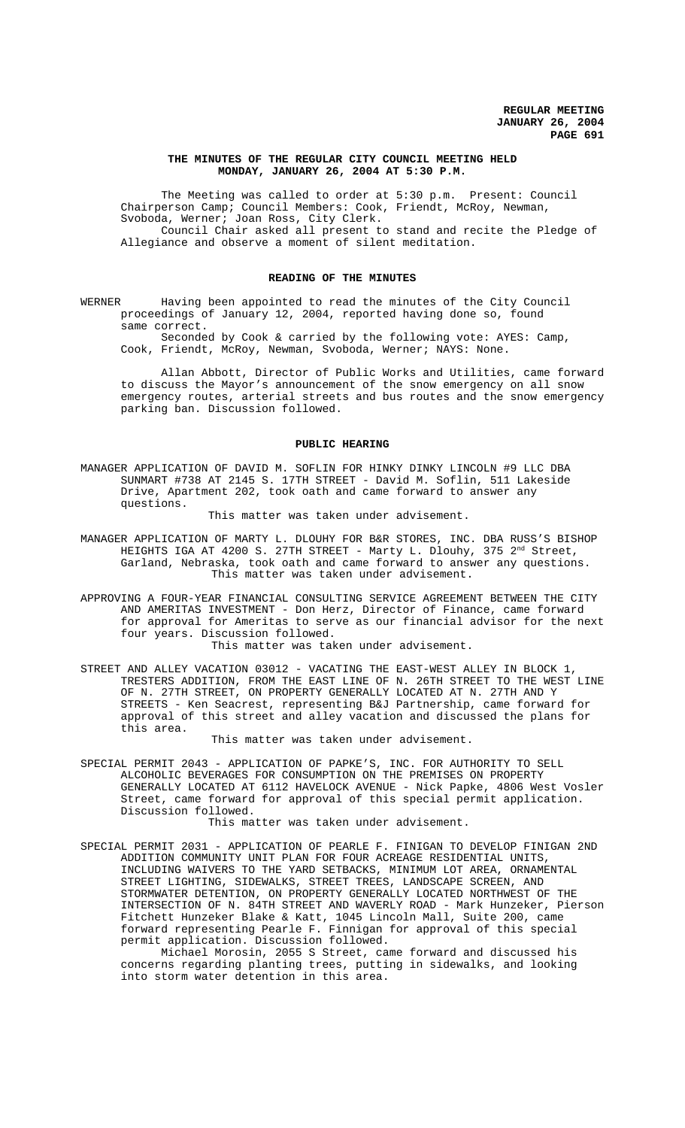## **THE MINUTES OF THE REGULAR CITY COUNCIL MEETING HELD MONDAY, JANUARY 26, 2004 AT 5:30 P.M.**

The Meeting was called to order at 5:30 p.m. Present: Council Chairperson Camp; Council Members: Cook, Friendt, McRoy, Newman, Svoboda, Werner; Joan Ross, City Clerk. Council Chair asked all present to stand and recite the Pledge of

Allegiance and observe a moment of silent meditation.

## **READING OF THE MINUTES**

WERNER Having been appointed to read the minutes of the City Council proceedings of January 12, 2004, reported having done so, found same correct.

Seconded by Cook & carried by the following vote: AYES: Camp, Cook, Friendt, McRoy, Newman, Svoboda, Werner; NAYS: None.

Allan Abbott, Director of Public Works and Utilities, came forward to discuss the Mayor's announcement of the snow emergency on all snow emergency routes, arterial streets and bus routes and the snow emergency parking ban. Discussion followed.

#### **PUBLIC HEARING**

MANAGER APPLICATION OF DAVID M. SOFLIN FOR HINKY DINKY LINCOLN #9 LLC DBA SUNMART #738 AT 2145 S. 17TH STREET - David M. Soflin, 511 Lakeside Drive, Apartment 202, took oath and came forward to answer any questions.

This matter was taken under advisement.

MANAGER APPLICATION OF MARTY L. DLOUHY FOR B&R STORES, INC. DBA RUSS'S BISHOP HEIGHTS IGA AT 4200 S. 27TH STREET - Marty L. Dlouhy, 375 2<sup>nd</sup> Street, Garland, Nebraska, took oath and came forward to answer any questions. This matter was taken under advisement.

- APPROVING A FOUR-YEAR FINANCIAL CONSULTING SERVICE AGREEMENT BETWEEN THE CITY AND AMERITAS INVESTMENT - Don Herz, Director of Finance, came forward for approval for Ameritas to serve as our financial advisor for the next four years. Discussion followed.
	- This matter was taken under advisement.
- STREET AND ALLEY VACATION 03012 VACATING THE EAST-WEST ALLEY IN BLOCK 1, TRESTERS ADDITION, FROM THE EAST LINE OF N. 26TH STREET TO THE WEST LINE OF N. 27TH STREET, ON PROPERTY GENERALLY LOCATED AT N. 27TH AND Y STREETS - Ken Seacrest, representing B&J Partnership, came forward for approval of this street and alley vacation and discussed the plans for this area.

This matter was taken under advisement.

SPECIAL PERMIT 2043 - APPLICATION OF PAPKE'S, INC. FOR AUTHORITY TO SELL ALCOHOLIC BEVERAGES FOR CONSUMPTION ON THE PREMISES ON PROPERTY GENERALLY LOCATED AT 6112 HAVELOCK AVENUE - Nick Papke, 4806 West Vosler Street, came forward for approval of this special permit application. Discussion followed.

This matter was taken under advisement.

SPECIAL PERMIT 2031 - APPLICATION OF PEARLE F. FINIGAN TO DEVELOP FINIGAN 2ND ADDITION COMMUNITY UNIT PLAN FOR FOUR ACREAGE RESIDENTIAL UNITS, INCLUDING WAIVERS TO THE YARD SETBACKS, MINIMUM LOT AREA, ORNAMENTAL STREET LIGHTING, SIDEWALKS, STREET TREES, LANDSCAPE SCREEN, AND STORMWATER DETENTION, ON PROPERTY GENERALLY LOCATED NORTHWEST OF THE INTERSECTION OF N. 84TH STREET AND WAVERLY ROAD - Mark Hunzeker, Pierson Fitchett Hunzeker Blake & Katt, 1045 Lincoln Mall, Suite 200, came forward representing Pearle F. Finnigan for approval of this special permit application. Discussion followed.

Michael Morosin, 2055 S Street, came forward and discussed his concerns regarding planting trees, putting in sidewalks, and looking into storm water detention in this area.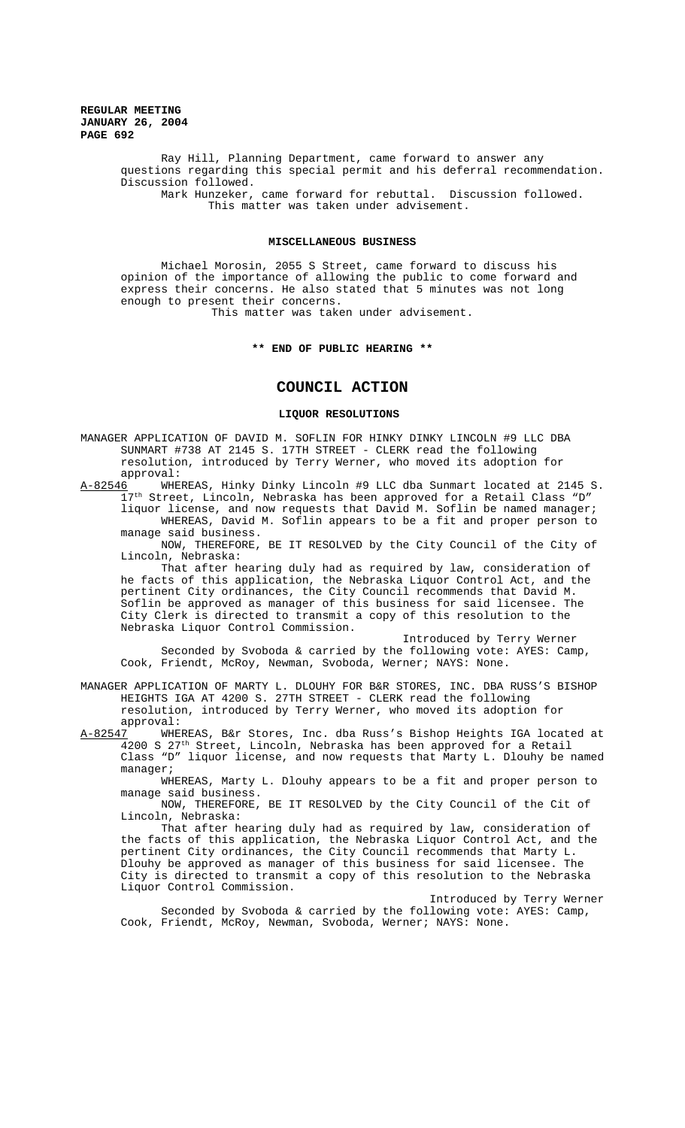> Ray Hill, Planning Department, came forward to answer any questions regarding this special permit and his deferral recommendation. Discussion followed. Mark Hunzeker, came forward for rebuttal. Discussion followed. This matter was taken under advisement.

## **MISCELLANEOUS BUSINESS**

Michael Morosin, 2055 S Street, came forward to discuss his opinion of the importance of allowing the public to come forward and express their concerns. He also stated that 5 minutes was not long enough to present their concerns.

This matter was taken under advisement.

### **\*\* END OF PUBLIC HEARING \*\***

# **COUNCIL ACTION**

## **LIQUOR RESOLUTIONS**

MANAGER APPLICATION OF DAVID M. SOFLIN FOR HINKY DINKY LINCOLN #9 LLC DBA SUNMART #738 AT 2145 S. 17TH STREET - CLERK read the following resolution, introduced by Terry Werner, who moved its adoption for approval:

A-82546 WHEREAS, Hinky Dinky Lincoln #9 LLC dba Sunmart located at 2145 S.  $17<sup>th</sup>$  Street, Lincoln, Nebraska has been approved for a Retail Class "D" liquor license, and now requests that David M. Soflin be named manager; WHEREAS, David M. Soflin appears to be a fit and proper person to manage said business.

NOW, THEREFORE, BE IT RESOLVED by the City Council of the City of Lincoln, Nebraska:

That after hearing duly had as required by law, consideration of he facts of this application, the Nebraska Liquor Control Act, and the pertinent City ordinances, the City Council recommends that David M. Soflin be approved as manager of this business for said licensee. The City Clerk is directed to transmit a copy of this resolution to the Nebraska Liquor Control Commission.

Introduced by Terry Werner Seconded by Svoboda & carried by the following vote: AYES: Camp, Cook, Friendt, McRoy, Newman, Svoboda, Werner; NAYS: None.

MANAGER APPLICATION OF MARTY L. DLOUHY FOR B&R STORES, INC. DBA RUSS'S BISHOP HEIGHTS IGA AT 4200 S. 27TH STREET - CLERK read the following resolution, introduced by Terry Werner, who moved its adoption for approval:<br><u>A-82547</u> WHE

WHEREAS, B&r Stores, Inc. dba Russ's Bishop Heights IGA located at  $\frac{1}{4}$ 200 S 27<sup>th</sup> Street, Lincoln, Nebraska has been approved for a Retail Class "D" liquor license, and now requests that Marty L. Dlouhy be named manager;

WHEREAS, Marty L. Dlouhy appears to be a fit and proper person to manage said business.

NOW, THEREFORE, BE IT RESOLVED by the City Council of the Cit of Lincoln, Nebraska:

That after hearing duly had as required by law, consideration of the facts of this application, the Nebraska Liquor Control Act, and the pertinent City ordinances, the City Council recommends that Marty L. Dlouhy be approved as manager of this business for said licensee. The City is directed to transmit a copy of this resolution to the Nebraska Liquor Control Commission.

Introduced by Terry Werner Seconded by Svoboda & carried by the following vote: AYES: Camp, Cook, Friendt, McRoy, Newman, Svoboda, Werner; NAYS: None.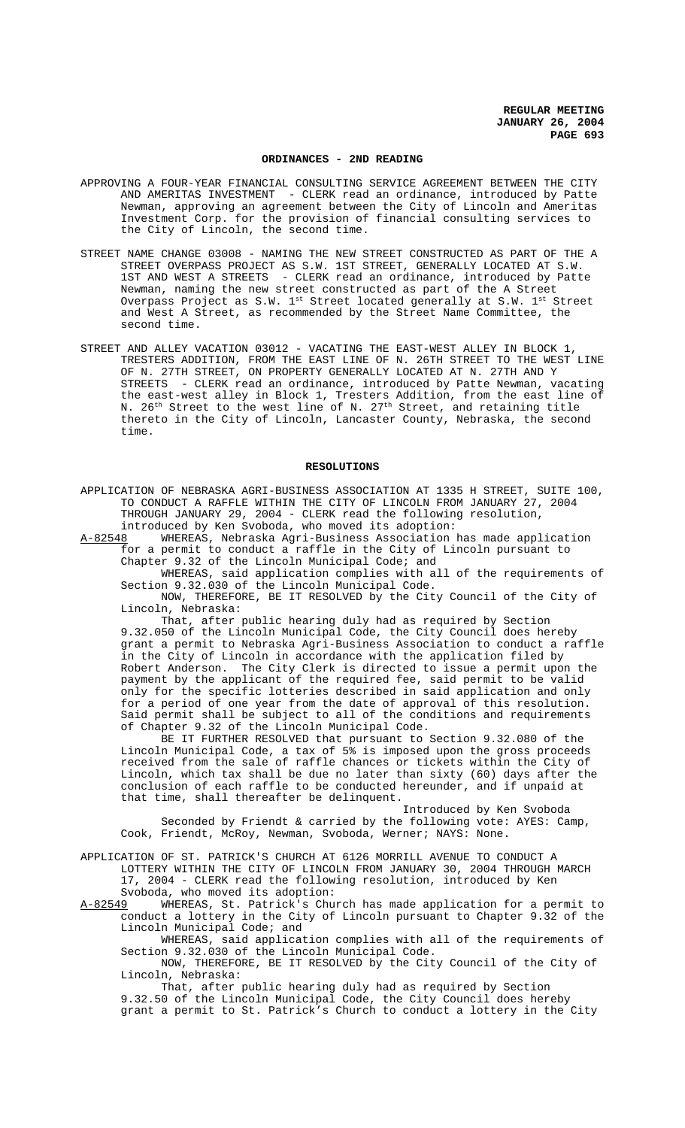#### **ORDINANCES - 2ND READING**

- APPROVING A FOUR-YEAR FINANCIAL CONSULTING SERVICE AGREEMENT BETWEEN THE CITY AND AMERITAS INVESTMENT - CLERK read an ordinance, introduced by Patte Newman, approving an agreement between the City of Lincoln and Ameritas Investment Corp. for the provision of financial consulting services to the City of Lincoln, the second time.
- STREET NAME CHANGE 03008 NAMING THE NEW STREET CONSTRUCTED AS PART OF THE A STREET OVERPASS PROJECT AS S.W. 1ST STREET, GENERALLY LOCATED AT S.W. 1ST AND WEST A STREETS - CLERK read an ordinance, introduced by Patte Newman, naming the new street constructed as part of the A Street Overpass Project as S.W.  $1^\text{st}$  Street located generally at S.W.  $1^\text{st}$  Street and West A Street, as recommended by the Street Name Committee, the second time.
- STREET AND ALLEY VACATION 03012 VACATING THE EAST-WEST ALLEY IN BLOCK 1, TRESTERS ADDITION, FROM THE EAST LINE OF N. 26TH STREET TO THE WEST LINE OF N. 27TH STREET, ON PROPERTY GENERALLY LOCATED AT N. 27TH AND Y STREETS - CLERK read an ordinance, introduced by Patte Newman, vacating the east-west alley in Block 1, Tresters Addition, from the east line of N. 26<sup>th</sup> Street to the west line of N. 27<sup>th</sup> Street, and retaining title thereto in the City of Lincoln, Lancaster County, Nebraska, the second time.

#### **RESOLUTIONS**

APPLICATION OF NEBRASKA AGRI-BUSINESS ASSOCIATION AT 1335 H STREET, SUITE 100, TO CONDUCT A RAFFLE WITHIN THE CITY OF LINCOLN FROM JANUARY 27, 2004 THROUGH JANUARY 29, 2004 - CLERK read the following resolution,

introduced by Ken Svoboda, who moved its adoption:<br>A-82548 WHEREAS, Nebraska Agri-Business Association WHEREAS, Nebraska Agri-Business Association has made application for a permit to conduct a raffle in the City of Lincoln pursuant to Chapter 9.32 of the Lincoln Municipal Code; and

WHEREAS, said application complies with all of the requirements of Section 9.32.030 of the Lincoln Municipal Code.

NOW, THEREFORE, BE IT RESOLVED by the City Council of the City of Lincoln, Nebraska:

That, after public hearing duly had as required by Section 9.32.050 of the Lincoln Municipal Code, the City Council does hereby grant a permit to Nebraska Agri-Business Association to conduct a raffle in the City of Lincoln in accordance with the application filed by Robert Anderson. The City Clerk is directed to issue a permit upon the payment by the applicant of the required fee, said permit to be valid only for the specific lotteries described in said application and only for a period of one year from the date of approval of this resolution. Said permit shall be subject to all of the conditions and requirements of Chapter 9.32 of the Lincoln Municipal Code.

BE IT FURTHER RESOLVED that pursuant to Section 9.32.080 of the Lincoln Municipal Code, a tax of 5% is imposed upon the gross proceeds received from the sale of raffle chances or tickets within the City of Lincoln, which tax shall be due no later than sixty (60) days after the conclusion of each raffle to be conducted hereunder, and if unpaid at that time, shall thereafter be delinquent.

Introduced by Ken Svoboda Seconded by Friendt & carried by the following vote: AYES: Camp, Cook, Friendt, McRoy, Newman, Svoboda, Werner; NAYS: None.

- APPLICATION OF ST. PATRICK'S CHURCH AT 6126 MORRILL AVENUE TO CONDUCT A LOTTERY WITHIN THE CITY OF LINCOLN FROM JANUARY 30, 2004 THROUGH MARCH 17, 2004 - CLERK read the following resolution, introduced by Ken Svoboda, who moved its adoption:
- A-82549 WHEREAS, St. Patrick's Church has made application for a permit to conduct a lottery in the City of Lincoln pursuant to Chapter 9.32 of the Lincoln Municipal Code; and

WHEREAS, said application complies with all of the requirements of Section 9.32.030 of the Lincoln Municipal Code.

NOW, THEREFORE, BE IT RESOLVED by the City Council of the City of Lincoln, Nebraska:

That, after public hearing duly had as required by Section 9.32.50 of the Lincoln Municipal Code, the City Council does hereby grant a permit to St. Patrick's Church to conduct a lottery in the City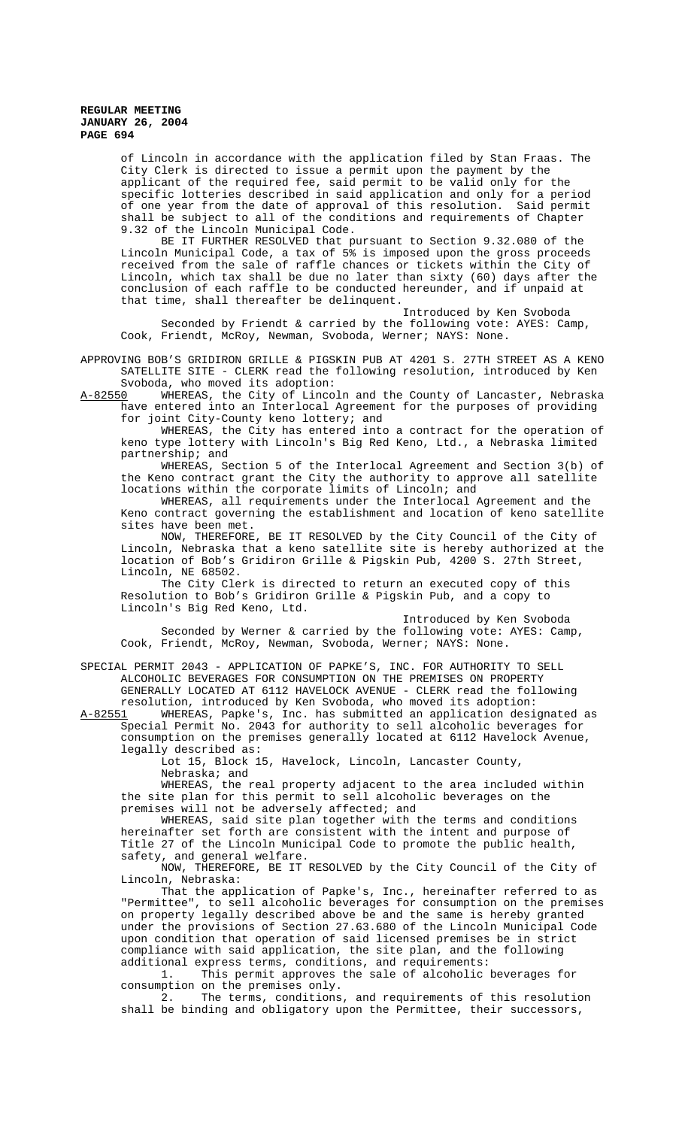of Lincoln in accordance with the application filed by Stan Fraas. The City Clerk is directed to issue a permit upon the payment by the applicant of the required fee, said permit to be valid only for the specific lotteries described in said application and only for a period of one year from the date of approval of this resolution. Said permit shall be subject to all of the conditions and requirements of Chapter 9.32 of the Lincoln Municipal Code.

BE IT FURTHER RESOLVED that pursuant to Section 9.32.080 of the Lincoln Municipal Code, a tax of 5% is imposed upon the gross proceeds received from the sale of raffle chances or tickets within the City of Lincoln, which tax shall be due no later than sixty (60) days after the conclusion of each raffle to be conducted hereunder, and if unpaid at that time, shall thereafter be delinquent.

Introduced by Ken Svoboda Seconded by Friendt & carried by the following vote: AYES: Camp, Cook, Friendt, McRoy, Newman, Svoboda, Werner; NAYS: None.

APPROVING BOB'S GRIDIRON GRILLE & PIGSKIN PUB AT 4201 S. 27TH STREET AS A KENO SATELLITE SITE - CLERK read the following resolution, introduced by Ken

Svoboda, who moved its adoption:<br>A-82550 WHEREAS, the City of Linco WHEREAS, the City of Lincoln and the County of Lancaster, Nebraska have entered into an Interlocal Agreement for the purposes of providing for joint City-County keno lottery; and

WHEREAS, the City has entered into a contract for the operation of keno type lottery with Lincoln's Big Red Keno, Ltd., a Nebraska limited partnership; and

WHEREAS, Section 5 of the Interlocal Agreement and Section 3(b) of the Keno contract grant the City the authority to approve all satellite locations within the corporate limits of Lincoln; and

WHEREAS, all requirements under the Interlocal Agreement and the Keno contract governing the establishment and location of keno satellite sites have been met.

NOW, THEREFORE, BE IT RESOLVED by the City Council of the City of Lincoln, Nebraska that a keno satellite site is hereby authorized at the location of Bob's Gridiron Grille & Pigskin Pub, 4200 S. 27th Street, Lincoln, NE 68502.

The City Clerk is directed to return an executed copy of this Resolution to Bob's Gridiron Grille & Pigskin Pub, and a copy to Lincoln's Big Red Keno, Ltd.

Introduced by Ken Svoboda

Seconded by Werner & carried by the following vote: AYES: Camp, Cook, Friendt, McRoy, Newman, Svoboda, Werner; NAYS: None.

SPECIAL PERMIT 2043 - APPLICATION OF PAPKE'S, INC. FOR AUTHORITY TO SELL ALCOHOLIC BEVERAGES FOR CONSUMPTION ON THE PREMISES ON PROPERTY GENERALLY LOCATED AT 6112 HAVELOCK AVENUE - CLERK read the following resolution, introduced by Ken Svoboda, who moved its adoption:<br>A-82551 WHEREAS, Papke's, Inc. has submitted an application desi

A-82551 WHEREAS, Papke's, Inc. has submitted an application designated as Special Permit No. 2043 for authority to sell alcoholic beverages for consumption on the premises generally located at 6112 Havelock Avenue, legally described as:

Lot 15, Block 15, Havelock, Lincoln, Lancaster County, Nebraska; and

WHEREAS, the real property adjacent to the area included within the site plan for this permit to sell alcoholic beverages on the premises will not be adversely affected; and

WHEREAS, said site plan together with the terms and conditions hereinafter set forth are consistent with the intent and purpose of Title 27 of the Lincoln Municipal Code to promote the public health, safety, and general welfare.

NOW, THEREFORE, BE IT RESOLVED by the City Council of the City of Lincoln, Nebraska:

That the application of Papke's, Inc., hereinafter referred to as "Permittee", to sell alcoholic beverages for consumption on the premises on property legally described above be and the same is hereby granted under the provisions of Section 27.63.680 of the Lincoln Municipal Code upon condition that operation of said licensed premises be in strict compliance with said application, the site plan, and the following additional express terms, conditions, and requirements:

1. This permit approves the sale of alcoholic beverages for consumption on the premises only.

2. The terms, conditions, and requirements of this resolution shall be binding and obligatory upon the Permittee, their successors,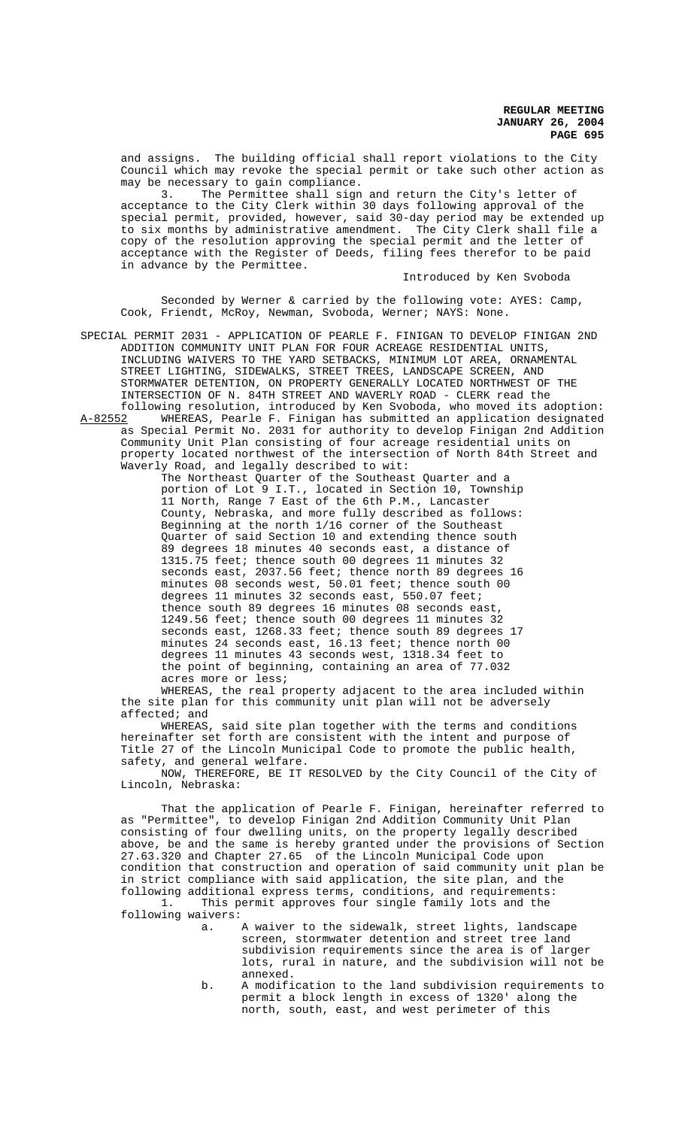and assigns. The building official shall report violations to the City Council which may revoke the special permit or take such other action as may be necessary to gain compliance.

3. The Permittee shall sign and return the City's letter of acceptance to the City Clerk within 30 days following approval of the special permit, provided, however, said 30-day period may be extended up to six months by administrative amendment. The City Clerk shall file a copy of the resolution approving the special permit and the letter of acceptance with the Register of Deeds, filing fees therefor to be paid in advance by the Permittee.

Introduced by Ken Svoboda

Seconded by Werner & carried by the following vote: AYES: Camp, Cook, Friendt, McRoy, Newman, Svoboda, Werner; NAYS: None.

SPECIAL PERMIT 2031 - APPLICATION OF PEARLE F. FINIGAN TO DEVELOP FINIGAN 2ND ADDITION COMMUNITY UNIT PLAN FOR FOUR ACREAGE RESIDENTIAL UNITS, INCLUDING WAIVERS TO THE YARD SETBACKS, MINIMUM LOT AREA, ORNAMENTAL STREET LIGHTING, SIDEWALKS, STREET TREES, LANDSCAPE SCREEN, AND STORMWATER DETENTION, ON PROPERTY GENERALLY LOCATED NORTHWEST OF THE INTERSECTION OF N. 84TH STREET AND WAVERLY ROAD - CLERK read the following resolution, introduced by Ken Svoboda, who moved its adoption:<br>A-82552 MHEREAS, Pearle F. Finigan has submitted an application designated

WHEREAS, Pearle F. Finigan has submitted an application designated as Special Permit No. 2031 for authority to develop Finigan 2nd Addition Community Unit Plan consisting of four acreage residential units on property located northwest of the intersection of North 84th Street and Waverly Road, and legally described to wit:

The Northeast Quarter of the Southeast Quarter and a portion of Lot 9 I.T., located in Section 10, Township 11 North, Range 7 East of the 6th P.M., Lancaster County, Nebraska, and more fully described as follows: Beginning at the north 1/16 corner of the Southeast Quarter of said Section 10 and extending thence south 89 degrees 18 minutes 40 seconds east, a distance of 1315.75 feet; thence south 00 degrees 11 minutes 32 seconds east, 2037.56 feet; thence north 89 degrees 16 minutes 08 seconds west, 50.01 feet; thence south 00 degrees 11 minutes 32 seconds east, 550.07 feet; thence south 89 degrees 16 minutes 08 seconds east, 1249.56 feet; thence south 00 degrees 11 minutes 32 seconds east, 1268.33 feet; thence south 89 degrees 17 minutes 24 seconds east, 16.13 feet; thence north 00 degrees 11 minutes 43 seconds west, 1318.34 feet to the point of beginning, containing an area of 77.032 acres more or less;

WHEREAS, the real property adjacent to the area included within the site plan for this community unit plan will not be adversely affected; and

WHEREAS, said site plan together with the terms and conditions hereinafter set forth are consistent with the intent and purpose of Title 27 of the Lincoln Municipal Code to promote the public health, safety, and general welfare.

NOW, THEREFORE, BE IT RESOLVED by the City Council of the City of Lincoln, Nebraska:

That the application of Pearle F. Finigan, hereinafter referred to as "Permittee", to develop Finigan 2nd Addition Community Unit Plan consisting of four dwelling units, on the property legally described above, be and the same is hereby granted under the provisions of Section 27.63.320 and Chapter 27.65 of the Lincoln Municipal Code upon condition that construction and operation of said community unit plan be in strict compliance with said application, the site plan, and the following additional express terms, conditions, and requirements:<br>1. This permit approves four single family lots and the

This permit approves four single family lots and the following waivers:

- a. A waiver to the sidewalk, street lights, landscape screen, stormwater detention and street tree land subdivision requirements since the area is of larger lots, rural in nature, and the subdivision will not be annexed.
- b. A modification to the land subdivision requirements to permit a block length in excess of 1320' along the north, south, east, and west perimeter of this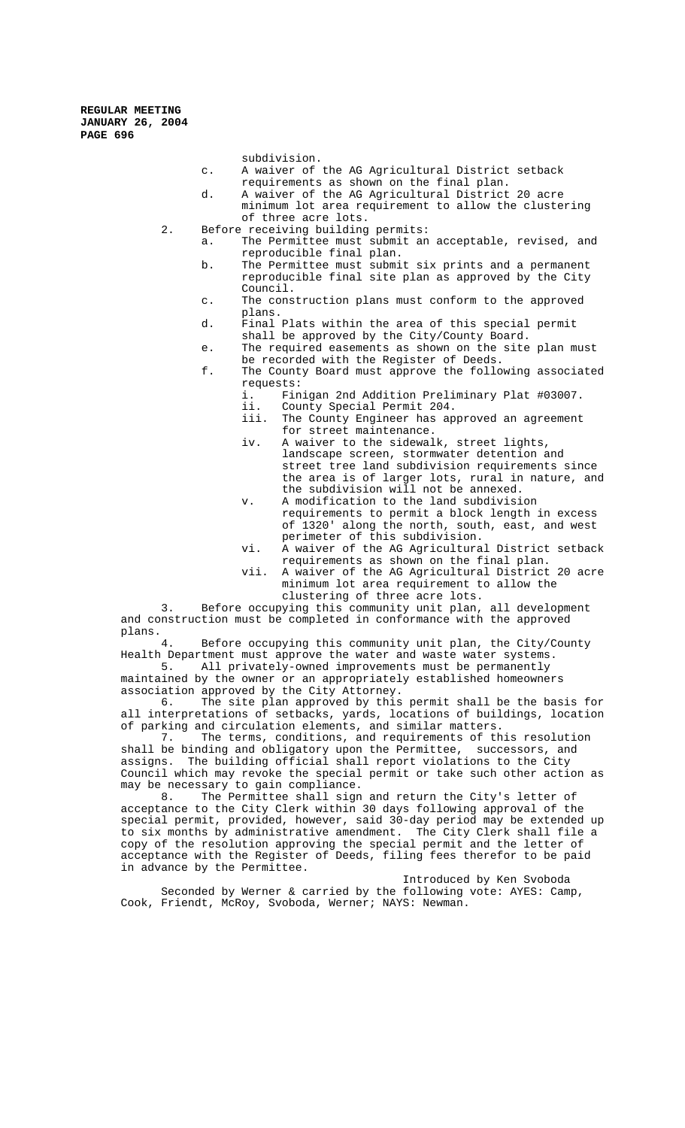subdivision.

- c. A waiver of the AG Agricultural District setback requirements as shown on the final plan.
- d. A waiver of the AG Agricultural District 20 acre minimum lot area requirement to allow the clustering of three acre lots.
- 2. Before receiving building permits:
	- a. The Permittee must submit an acceptable, revised, and reproducible final plan.
	- b. The Permittee must submit six prints and a permanent reproducible final site plan as approved by the City Council.
	- c. The construction plans must conform to the approved plans.
	- d. Final Plats within the area of this special permit shall be approved by the City/County Board.
	- e. The required easements as shown on the site plan must be recorded with the Register of Deeds.
	- f. The County Board must approve the following associated requests:<br>i. Fin
		- i. Finigan 2nd Addition Preliminary Plat #03007.<br>ii. County Special Permit 204.
		- ii. County Special Permit 204.<br>iii. The County Engineer has ap
		- The County Engineer has approved an agreement for street maintenance.
		- iv. A waiver to the sidewalk, street lights, landscape screen, stormwater detention and street tree land subdivision requirements since the area is of larger lots, rural in nature, and the subdivision will not be annexed.
		- v. A modification to the land subdivision requirements to permit a block length in excess of 1320' along the north, south, east, and west perimeter of this subdivision.
		- vi. A waiver of the AG Agricultural District setback requirements as shown on the final plan.
		- vii. A waiver of the AG Agricultural District 20 acre minimum lot area requirement to allow the clustering of three acre lots.

3. Before occupying this community unit plan, all development and construction must be completed in conformance with the approved plans.

Before occupying this community unit plan, the City/County Health Department must approve the water and waste water systems.

5. All privately-owned improvements must be permanently maintained by the owner or an appropriately established homeowners association approved by the City Attorney.

6. The site plan approved by this permit shall be the basis for all interpretations of setbacks, yards, locations of buildings, location of parking and circulation elements, and similar matters.

7. The terms, conditions, and requirements of this resolution shall be binding and obligatory upon the Permittee, successors, and assigns. The building official shall report violations to the City Council which may revoke the special permit or take such other action as may be necessary to gain compliance.<br>8. The Permittee shall sign

The Permittee shall sign and return the City's letter of acceptance to the City Clerk within 30 days following approval of the special permit, provided, however, said 30-day period may be extended up to six months by administrative amendment. The City Clerk shall file a copy of the resolution approving the special permit and the letter of acceptance with the Register of Deeds, filing fees therefor to be paid in advance by the Permittee.

Introduced by Ken Svoboda Seconded by Werner & carried by the following vote: AYES: Camp, Cook, Friendt, McRoy, Svoboda, Werner; NAYS: Newman.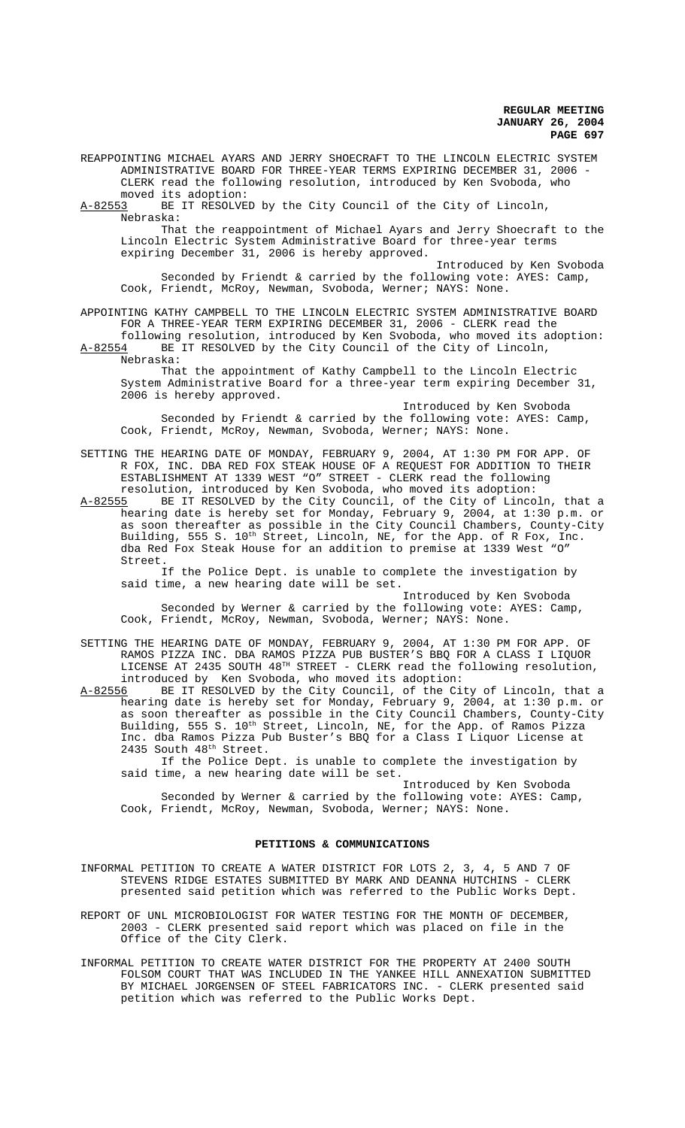REAPPOINTING MICHAEL AYARS AND JERRY SHOECRAFT TO THE LINCOLN ELECTRIC SYSTEM ADMINISTRATIVE BOARD FOR THREE-YEAR TERMS EXPIRING DECEMBER 31, 2006 - CLERK read the following resolution, introduced by Ken Svoboda, who moved its adoption:

A-82553 BE IT RESOLVED by the City Council of the City of Lincoln, Nebraska:

That the reappointment of Michael Ayars and Jerry Shoecraft to the Lincoln Electric System Administrative Board for three-year terms expiring December 31, 2006 is hereby approved.

Introduced by Ken Svoboda Seconded by Friendt & carried by the following vote: AYES: Camp, Cook, Friendt, McRoy, Newman, Svoboda, Werner; NAYS: None.

APPOINTING KATHY CAMPBELL TO THE LINCOLN ELECTRIC SYSTEM ADMINISTRATIVE BOARD FOR A THREE-YEAR TERM EXPIRING DECEMBER 31, 2006 - CLERK read the

following resolution, introduced by Ken Svoboda, who moved its adoption:<br>A-82554 BE IT RESOLVED by the City Council of the City of Lincoln, BE IT RESOLVED by the City Council of the City of Lincoln, Nebraska:

That the appointment of Kathy Campbell to the Lincoln Electric System Administrative Board for a three-year term expiring December 31, 2006 is hereby approved.

Introduced by Ken Svoboda Seconded by Friendt & carried by the following vote: AYES: Camp, Cook, Friendt, McRoy, Newman, Svoboda, Werner; NAYS: None.

SETTING THE HEARING DATE OF MONDAY, FEBRUARY 9, 2004, AT 1:30 PM FOR APP. OF R FOX, INC. DBA RED FOX STEAK HOUSE OF A REQUEST FOR ADDITION TO THEIR ESTABLISHMENT AT 1339 WEST "O" STREET - CLERK read the following resolution, introduced by Ken Svoboda, who moved its adoption:

A-82555 BE IT RESOLVED by the City Council, of the City of Lincoln, that a hearing date is hereby set for Monday, February 9, 2004, at 1:30 p.m. or as soon thereafter as possible in the City Council Chambers, County-City Building, 555 S. 10<sup>th</sup> Street, Lincoln, NE, for the App. of R Fox, Inc. dba Red Fox Steak House for an addition to premise at 1339 West "O" Street.

If the Police Dept. is unable to complete the investigation by said time, a new hearing date will be set.

Introduced by Ken Svoboda Seconded by Werner & carried by the following vote: AYES: Camp, Cook, Friendt, McRoy, Newman, Svoboda, Werner; NAYS: None.

SETTING THE HEARING DATE OF MONDAY, FEBRUARY 9, 2004, AT 1:30 PM FOR APP. OF RAMOS PIZZA INC. DBA RAMOS PIZZA PUB BUSTER'S BBQ FOR A CLASS I LIQUOR LICENSE AT 2435 SOUTH  $48^{TH}$  STREET - CLERK read the following resolution, introduced by Ken Svoboda, who moved its adoption:<br>A-82556 BE IT RESOLVED by the City Council, of the Ci

BE IT RESOLVED by the City Council, of the City of Lincoln, that a hearing date is hereby set for Monday, February 9, 2004, at 1:30 p.m. or as soon thereafter as possible in the City Council Chambers, County-City Building, 555 S. 10<sup>th</sup> Street, Lincoln, NE, for the App. of Ramos Pizza Inc. dba Ramos Pizza Pub Buster's BBQ for a Class I Liquor License at 2435 South 48<sup>th</sup> Street.

If the Police Dept. is unable to complete the investigation by said time, a new hearing date will be set.

Introduced by Ken Svoboda Seconded by Werner & carried by the following vote: AYES: Camp, Cook, Friendt, McRoy, Newman, Svoboda, Werner; NAYS: None.

#### **PETITIONS & COMMUNICATIONS**

INFORMAL PETITION TO CREATE A WATER DISTRICT FOR LOTS 2, 3, 4, 5 AND 7 OF STEVENS RIDGE ESTATES SUBMITTED BY MARK AND DEANNA HUTCHINS - CLERK presented said petition which was referred to the Public Works Dept.

REPORT OF UNL MICROBIOLOGIST FOR WATER TESTING FOR THE MONTH OF DECEMBER, 2003 - CLERK presented said report which was placed on file in the Office of the City Clerk.

INFORMAL PETITION TO CREATE WATER DISTRICT FOR THE PROPERTY AT 2400 SOUTH FOLSOM COURT THAT WAS INCLUDED IN THE YANKEE HILL ANNEXATION SUBMITTED BY MICHAEL JORGENSEN OF STEEL FABRICATORS INC. - CLERK presented said petition which was referred to the Public Works Dept.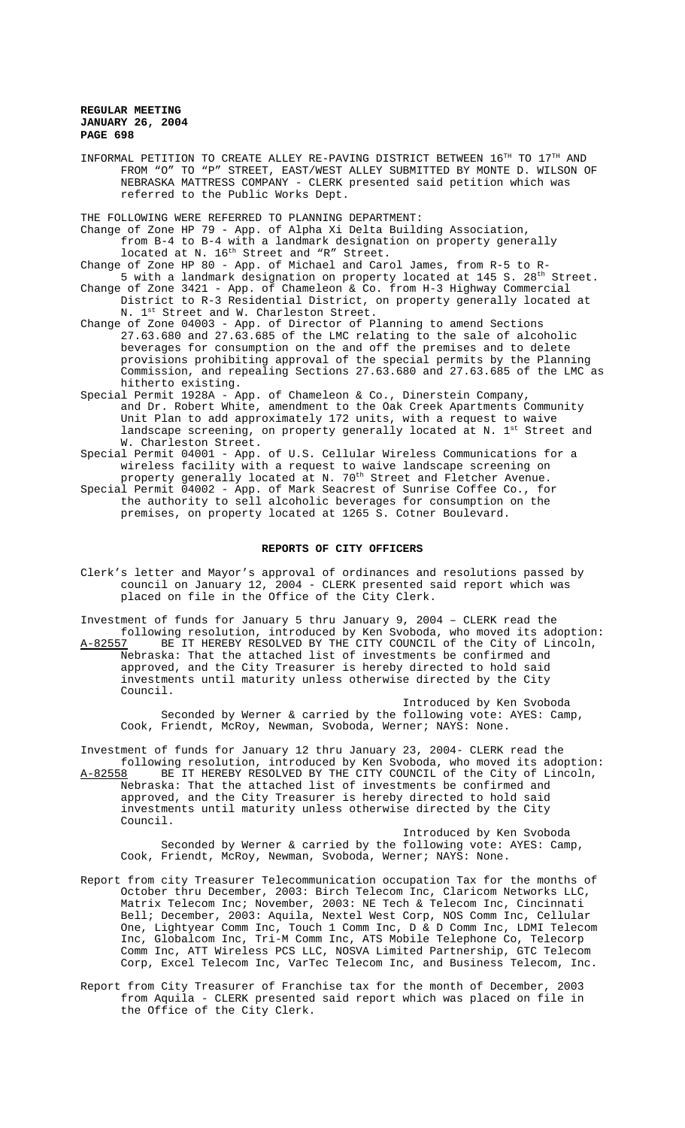INFORMAL PETITION TO CREATE ALLEY RE-PAVING DISTRICT BETWEEN 16TH TO 17TH AND FROM "O" TO "P" STREET, EAST/WEST ALLEY SUBMITTED BY MONTE D. WILSON OF NEBRASKA MATTRESS COMPANY - CLERK presented said petition which was referred to the Public Works Dept.

THE FOLLOWING WERE REFERRED TO PLANNING DEPARTMENT:

Change of Zone HP 79 - App. of Alpha Xi Delta Building Association, from B-4 to B-4 with a landmark designation on property generally located at N. 16<sup>th</sup> Street and "R" Street.

Change of Zone HP 80 - App. of Michael and Carol James, from R-5 to R-

- 5 with a landmark designation on property located at 145 S. 28<sup>th</sup> Street. Change of Zone 3421 - App. of Chameleon & Co. from H-3 Highway Commercial District to R-3 Residential District, on property generally located at N. 1st Street and W. Charleston Street.
- Change of Zone 04003 App. of Director of Planning to amend Sections 27.63.680 and 27.63.685 of the LMC relating to the sale of alcoholic beverages for consumption on the and off the premises and to delete provisions prohibiting approval of the special permits by the Planning Commission, and repealing Sections 27.63.680 and 27.63.685 of the LMC as hitherto existing.
- Special Permit 1928A App. of Chameleon & Co., Dinerstein Company, and Dr. Robert White, amendment to the Oak Creek Apartments Community Unit Plan to add approximately 172 units, with a request to waive landscape screening, on property generally located at N.  $1^{st}$  Street and W. Charleston Street.
- Special Permit 04001 App. of U.S. Cellular Wireless Communications for a wireless facility with a request to waive landscape screening on property generally located at N. 70<sup>th</sup> Street and Fletcher Avenue.
- Special Permit 04002 App. of Mark Seacrest of Sunrise Coffee Co., for the authority to sell alcoholic beverages for consumption on the premises, on property located at 1265 S. Cotner Boulevard.

#### **REPORTS OF CITY OFFICERS**

Clerk's letter and Mayor's approval of ordinances and resolutions passed by council on January 12, 2004 - CLERK presented said report which was placed on file in the Office of the City Clerk.

Investment of funds for January 5 thru January 9, 2004 – CLERK read the following resolution, introduced by Ken Svoboda, who moved its adoption:<br>A-82557 BE IT HEREBY RESOLVED BY THE CITY COUNCIL of the City of Lincoln, BE IT HEREBY RESOLVED BY THE CITY COUNCIL of the City of Lincoln, Nebraska: That the attached list of investments be confirmed and approved, and the City Treasurer is hereby directed to hold said investments until maturity unless otherwise directed by the City Council.

Introduced by Ken Svoboda Seconded by Werner & carried by the following vote: AYES: Camp, Cook, Friendt, McRoy, Newman, Svoboda, Werner; NAYS: None.

Investment of funds for January 12 thru January 23, 2004- CLERK read the following resolution, introduced by Ken Svoboda, who moved its adoption:

A-82558 BE IT HEREBY RESOLVED BY THE CITY COUNCIL of the City of Lincoln, Nebraska: That the attached list of investments be confirmed and approved, and the City Treasurer is hereby directed to hold said investments until maturity unless otherwise directed by the City Council.

Introduced by Ken Svoboda Seconded by Werner & carried by the following vote: AYES: Camp, Cook, Friendt, McRoy, Newman, Svoboda, Werner; NAYS: None.

- Report from city Treasurer Telecommunication occupation Tax for the months of October thru December, 2003: Birch Telecom Inc, Claricom Networks LLC, Matrix Telecom Inc; November, 2003: NE Tech & Telecom Inc, Cincinnati Bell; December, 2003: Aquila, Nextel West Corp, NOS Comm Inc, Cellular One, Lightyear Comm Inc, Touch 1 Comm Inc, D & D Comm Inc, LDMI Telecom Inc, Globalcom Inc, Tri-M Comm Inc, ATS Mobile Telephone Co, Telecorp Comm Inc, ATT Wireless PCS LLC, NOSVA Limited Partnership, GTC Telecom Corp, Excel Telecom Inc, VarTec Telecom Inc, and Business Telecom, Inc.
- Report from City Treasurer of Franchise tax for the month of December, 2003 from Aquila - CLERK presented said report which was placed on file in the Office of the City Clerk.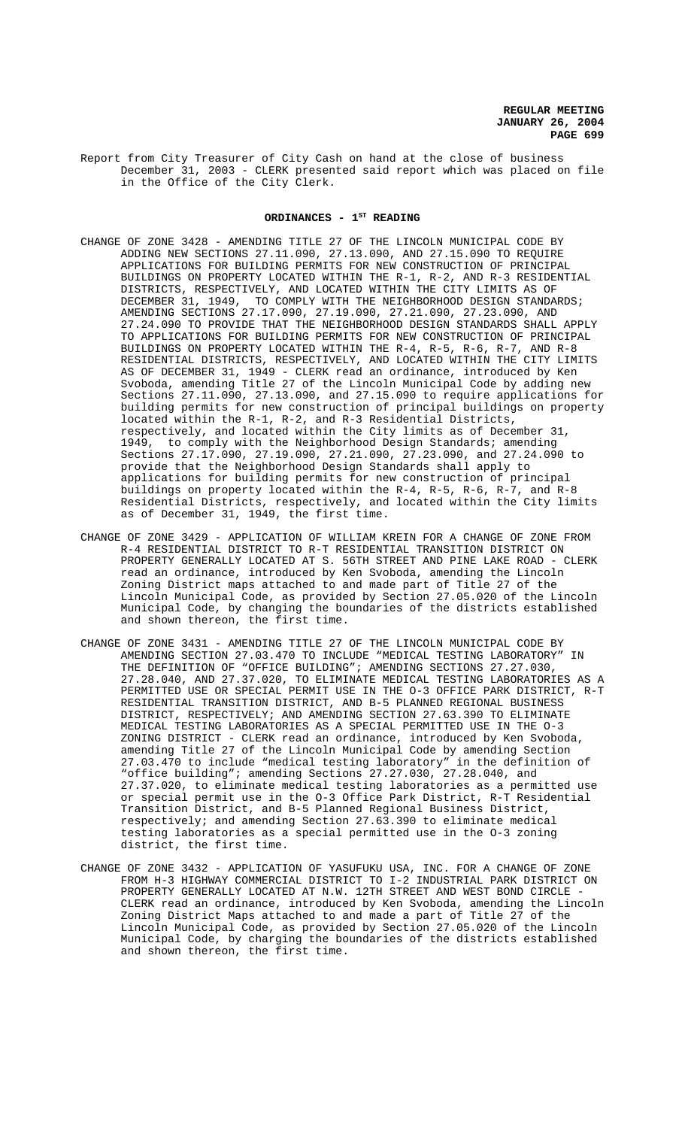Report from City Treasurer of City Cash on hand at the close of business December 31, 2003 - CLERK presented said report which was placed on file in the Office of the City Clerk.

#### ORDINANCES - 1<sup>st</sup> READING

- CHANGE OF ZONE 3428 AMENDING TITLE 27 OF THE LINCOLN MUNICIPAL CODE BY ADDING NEW SECTIONS 27.11.090, 27.13.090, AND 27.15.090 TO REQUIRE APPLICATIONS FOR BUILDING PERMITS FOR NEW CONSTRUCTION OF PRINCIPAL BUILDINGS ON PROPERTY LOCATED WITHIN THE R-1, R-2, AND R-3 RESIDENTIAL DISTRICTS, RESPECTIVELY, AND LOCATED WITHIN THE CITY LIMITS AS OF TO COMPLY WITH THE NEIGHBORHOOD DESIGN STANDARDS; AMENDING SECTIONS 27.17.090, 27.19.090, 27.21.090, 27.23.090, AND 27.24.090 TO PROVIDE THAT THE NEIGHBORHOOD DESIGN STANDARDS SHALL APPLY TO APPLICATIONS FOR BUILDING PERMITS FOR NEW CONSTRUCTION OF PRINCIPAL BUILDINGS ON PROPERTY LOCATED WITHIN THE R-4, R-5, R-6, R-7, AND R-8 RESIDENTIAL DISTRICTS, RESPECTIVELY, AND LOCATED WITHIN THE CITY LIMITS AS OF DECEMBER 31, 1949 - CLERK read an ordinance, introduced by Ken Svoboda, amending Title 27 of the Lincoln Municipal Code by adding new Sections 27.11.090, 27.13.090, and 27.15.090 to require applications for building permits for new construction of principal buildings on property located within the R-1, R-2, and R-3 Residential Districts, respectively, and located within the City limits as of December 31, 1949, to comply with the Neighborhood Design Standards; amending Sections 27.17.090, 27.19.090, 27.21.090, 27.23.090, and 27.24.090 to provide that the Neighborhood Design Standards shall apply to applications for building permits for new construction of principal buildings on property located within the R-4, R-5, R-6, R-7, and R-8 Residential Districts, respectively, and located within the City limits as of December 31, 1949, the first time.
- CHANGE OF ZONE 3429 APPLICATION OF WILLIAM KREIN FOR A CHANGE OF ZONE FROM R-4 RESIDENTIAL DISTRICT TO R-T RESIDENTIAL TRANSITION DISTRICT ON PROPERTY GENERALLY LOCATED AT S. 56TH STREET AND PINE LAKE ROAD - CLERK read an ordinance, introduced by Ken Svoboda, amending the Lincoln Zoning District maps attached to and made part of Title 27 of the Lincoln Municipal Code, as provided by Section 27.05.020 of the Lincoln Municipal Code, by changing the boundaries of the districts established and shown thereon, the first time.
- CHANGE OF ZONE 3431 AMENDING TITLE 27 OF THE LINCOLN MUNICIPAL CODE BY AMENDING SECTION 27.03.470 TO INCLUDE "MEDICAL TESTING LABORATORY" IN THE DEFINITION OF "OFFICE BUILDING"; AMENDING SECTIONS 27.27.030, 27.28.040, AND 27.37.020, TO ELIMINATE MEDICAL TESTING LABORATORIES AS A PERMITTED USE OR SPECIAL PERMIT USE IN THE O-3 OFFICE PARK DISTRICT, R-T RESIDENTIAL TRANSITION DISTRICT, AND B-5 PLANNED REGIONAL BUSINESS DISTRICT, RESPECTIVELY; AND AMENDING SECTION 27.63.390 TO ELIMINATE MEDICAL TESTING LABORATORIES AS A SPECIAL PERMITTED USE IN THE O-3 ZONING DISTRICT - CLERK read an ordinance, introduced by Ken Svoboda, amending Title 27 of the Lincoln Municipal Code by amending Section 27.03.470 to include "medical testing laboratory" in the definition of "office building"; amending Sections 27.27.030, 27.28.040, and 27.37.020, to eliminate medical testing laboratories as a permitted use or special permit use in the O-3 Office Park District, R-T Residential Transition District, and B-5 Planned Regional Business District, respectively; and amending Section 27.63.390 to eliminate medical testing laboratories as a special permitted use in the O-3 zoning district, the first time.
- CHANGE OF ZONE 3432 APPLICATION OF YASUFUKU USA, INC. FOR A CHANGE OF ZONE FROM H-3 HIGHWAY COMMERCIAL DISTRICT TO I-2 INDUSTRIAL PARK DISTRICT ON PROPERTY GENERALLY LOCATED AT N.W. 12TH STREET AND WEST BOND CIRCLE - CLERK read an ordinance, introduced by Ken Svoboda, amending the Lincoln Zoning District Maps attached to and made a part of Title 27 of the Lincoln Municipal Code, as provided by Section 27.05.020 of the Lincoln Municipal Code, by charging the boundaries of the districts established and shown thereon, the first time.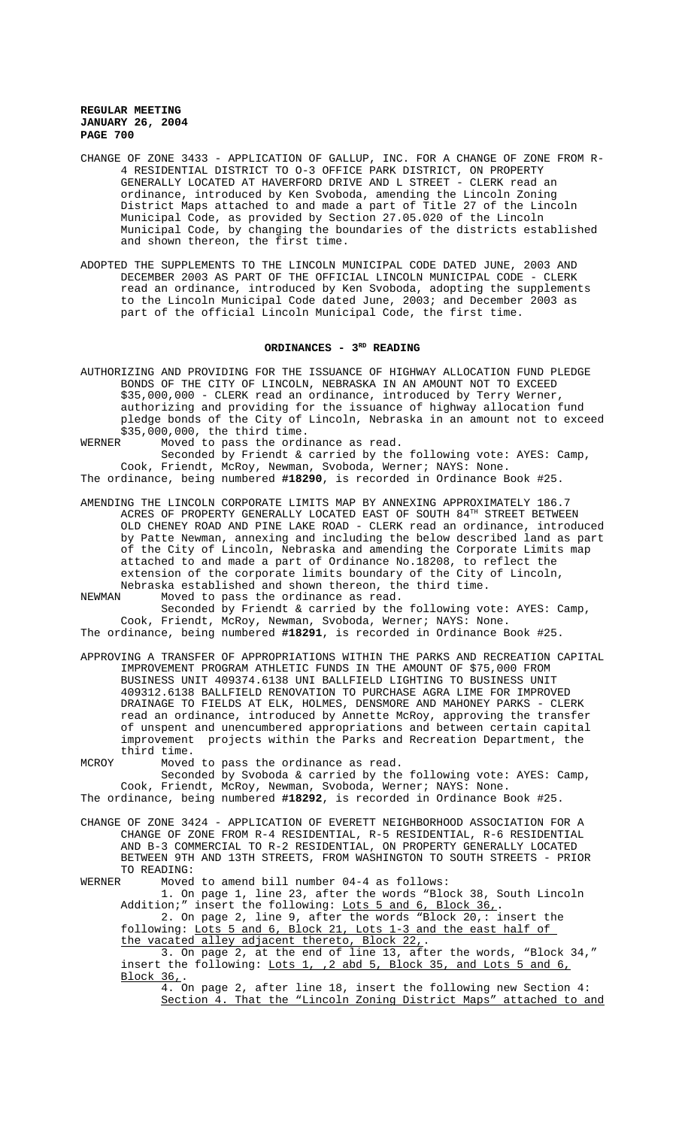- CHANGE OF ZONE 3433 APPLICATION OF GALLUP, INC. FOR A CHANGE OF ZONE FROM R-4 RESIDENTIAL DISTRICT TO O-3 OFFICE PARK DISTRICT, ON PROPERTY GENERALLY LOCATED AT HAVERFORD DRIVE AND L STREET - CLERK read an ordinance, introduced by Ken Svoboda, amending the Lincoln Zoning District Maps attached to and made a part of Title 27 of the Lincoln Municipal Code, as provided by Section 27.05.020 of the Lincoln Municipal Code, by changing the boundaries of the districts established and shown thereon, the first time.
- ADOPTED THE SUPPLEMENTS TO THE LINCOLN MUNICIPAL CODE DATED JUNE, 2003 AND DECEMBER 2003 AS PART OF THE OFFICIAL LINCOLN MUNICIPAL CODE - CLERK read an ordinance, introduced by Ken Svoboda, adopting the supplements to the Lincoln Municipal Code dated June, 2003; and December 2003 as part of the official Lincoln Municipal Code, the first time.

# ORDINANCES - 3<sup>RD</sup> READING

- AUTHORIZING AND PROVIDING FOR THE ISSUANCE OF HIGHWAY ALLOCATION FUND PLEDGE BONDS OF THE CITY OF LINCOLN, NEBRASKA IN AN AMOUNT NOT TO EXCEED \$35,000,000 - CLERK read an ordinance, introduced by Terry Werner, authorizing and providing for the issuance of highway allocation fund pledge bonds of the City of Lincoln, Nebraska in an amount not to exceed \$35,000,000, the third time.<br>WERNER Moved to pass the ordi
	- Moved to pass the ordinance as read.

Seconded by Friendt & carried by the following vote: AYES: Camp, Cook, Friendt, McRoy, Newman, Svoboda, Werner; NAYS: None. The ordinance, being numbered **#18290**, is recorded in Ordinance Book #25.

AMENDING THE LINCOLN CORPORATE LIMITS MAP BY ANNEXING APPROXIMATELY 186.7 ACRES OF PROPERTY GENERALLY LOCATED EAST OF SOUTH 84TH STREET BETWEEN OLD CHENEY ROAD AND PINE LAKE ROAD - CLERK read an ordinance, introduced by Patte Newman, annexing and including the below described land as part of the City of Lincoln, Nebraska and amending the Corporate Limits map attached to and made a part of Ordinance No.18208, to reflect the extension of the corporate limits boundary of the City of Lincoln, Nebraska established and shown thereon, the third time.

NEWMAN Moved to pass the ordinance as read.

Seconded by Friendt & carried by the following vote: AYES: Camp, Cook, Friendt, McRoy, Newman, Svoboda, Werner; NAYS: None. The ordinance, being numbered **#18291**, is recorded in Ordinance Book #25.

APPROVING A TRANSFER OF APPROPRIATIONS WITHIN THE PARKS AND RECREATION CAPITAL IMPROVEMENT PROGRAM ATHLETIC FUNDS IN THE AMOUNT OF \$75,000 FROM BUSINESS UNIT 409374.6138 UNI BALLFIELD LIGHTING TO BUSINESS UNIT 409312.6138 BALLFIELD RENOVATION TO PURCHASE AGRA LIME FOR IMPROVED DRAINAGE TO FIELDS AT ELK, HOLMES, DENSMORE AND MAHONEY PARKS - CLERK read an ordinance, introduced by Annette McRoy, approving the transfer of unspent and unencumbered appropriations and between certain capital improvement projects within the Parks and Recreation Department, the third time.

## MCROY Moved to pass the ordinance as read. Seconded by Svoboda & carried by the following vote: AYES: Camp, Cook, Friendt, McRoy, Newman, Svoboda, Werner; NAYS: None. The ordinance, being numbered **#18292**, is recorded in Ordinance Book #25.

CHANGE OF ZONE 3424 - APPLICATION OF EVERETT NEIGHBORHOOD ASSOCIATION FOR A CHANGE OF ZONE FROM R-4 RESIDENTIAL, R-5 RESIDENTIAL, R-6 RESIDENTIAL AND B-3 COMMERCIAL TO R-2 RESIDENTIAL, ON PROPERTY GENERALLY LOCATED BETWEEN 9TH AND 13TH STREETS, FROM WASHINGTON TO SOUTH STREETS - PRIOR TO READING:

WERNER Moved to amend bill number 04-4 as follows:

1. On page 1, line 23, after the words "Block 38, South Lincoln Addition;" insert the following: Lots 5 and 6, Block 36,. 2. On page 2, line 9, after the words "Block 20,: insert the

following: Lots 5 and 6, Block 21, Lots 1-3 and the east half of the vacated alley adjacent thereto, Block 22,.

3. On page 2, at the end of line 13, after the words, "Block 34," insert the following: Lots 1, , 2 abd 5, Block 35, and Lots 5 and 6, Block 36,.

4. On page 2, after line 18, insert the following new Section 4: Section 4. That the "Lincoln Zoning District Maps" attached to and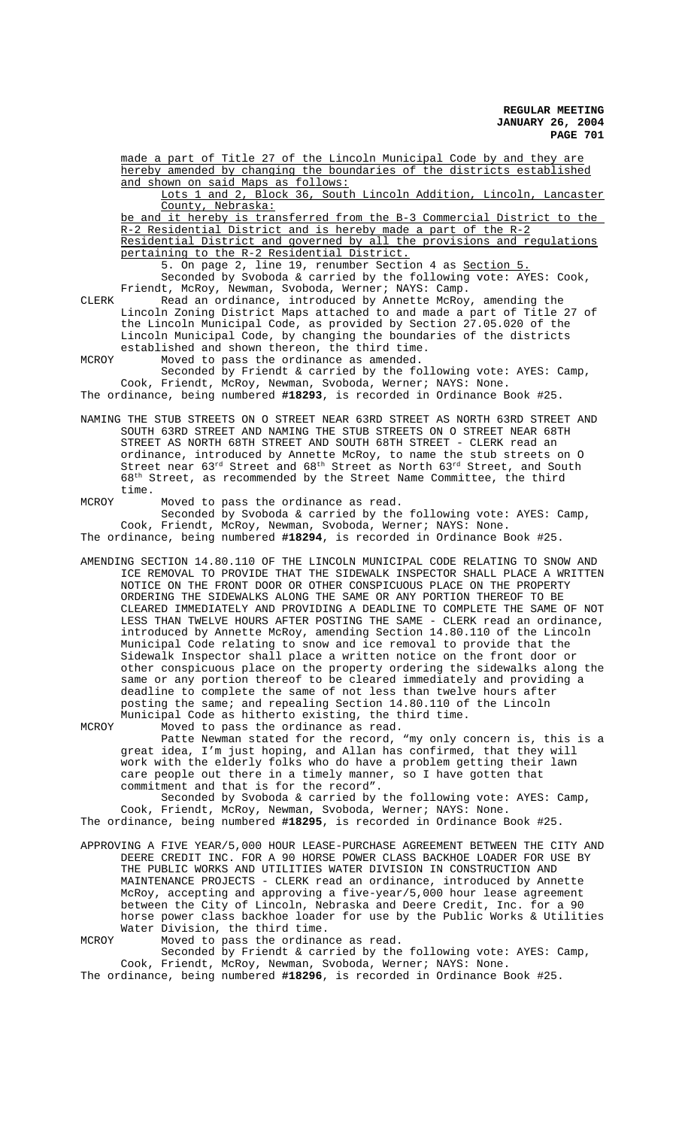made a part of Title 27 of the Lincoln Municipal Code by and they are hereby amended by changing the boundaries of the districts established and shown on said Maps as follows:

Lots 1 and 2, Block 36, South Lincoln Addition, Lincoln, Lancaster County, Nebraska:

be and it hereby is transferred from the B-3 Commercial District to the R-2 Residential District and is hereby made a part of the R-2 Residential District and governed by all the provisions and regulations pertaining to the R-2 Residential District.

5. On page 2, line 19, renumber Section 4 as Section 5. Seconded by Svoboda & carried by the following vote: AYES: Cook, Friendt, McRoy, Newman, Svoboda, Werner; NAYS: Camp.

CLERK Read an ordinance, introduced by Annette McRoy, amending the Lincoln Zoning District Maps attached to and made a part of Title 27 of the Lincoln Municipal Code, as provided by Section 27.05.020 of the Lincoln Municipal Code, by changing the boundaries of the districts established and shown thereon, the third time. MCROY Moved to pass the ordinance as amended.

Seconded by Friendt & carried by the following vote: AYES: Camp, Cook, Friendt, McRoy, Newman, Svoboda, Werner; NAYS: None. The ordinance, being numbered **#18293**, is recorded in Ordinance Book #25.

NAMING THE STUB STREETS ON O STREET NEAR 63RD STREET AS NORTH 63RD STREET AND SOUTH 63RD STREET AND NAMING THE STUB STREETS ON O STREET NEAR 68TH STREET AS NORTH 68TH STREET AND SOUTH 68TH STREET - CLERK read an ordinance, introduced by Annette McRoy, to name the stub streets on O Street near  $63^{rd}$  Street and  $68^{th}$  Street as North  $63^{rd}$  Street, and South 68th Street, as recommended by the Street Name Committee, the third time.

MCROY Moved to pass the ordinance as read. Seconded by Svoboda & carried by the following vote: AYES: Camp, Cook, Friendt, McRoy, Newman, Svoboda, Werner; NAYS: None. The ordinance, being numbered **#18294**, is recorded in Ordinance Book #25.

AMENDING SECTION 14.80.110 OF THE LINCOLN MUNICIPAL CODE RELATING TO SNOW AND ICE REMOVAL TO PROVIDE THAT THE SIDEWALK INSPECTOR SHALL PLACE A WRITTEN NOTICE ON THE FRONT DOOR OR OTHER CONSPICUOUS PLACE ON THE PROPERTY ORDERING THE SIDEWALKS ALONG THE SAME OR ANY PORTION THEREOF TO BE CLEARED IMMEDIATELY AND PROVIDING A DEADLINE TO COMPLETE THE SAME OF NOT LESS THAN TWELVE HOURS AFTER POSTING THE SAME - CLERK read an ordinance, introduced by Annette McRoy, amending Section 14.80.110 of the Lincoln Municipal Code relating to snow and ice removal to provide that the Sidewalk Inspector shall place a written notice on the front door or other conspicuous place on the property ordering the sidewalks along the same or any portion thereof to be cleared immediately and providing a deadline to complete the same of not less than twelve hours after posting the same; and repealing Section 14.80.110 of the Lincoln Municipal Code as hitherto existing, the third time.

MCROY Moved to pass the ordinance as read. Patte Newman stated for the record, "my only concern is, this is a great idea, I'm just hoping, and Allan has confirmed, that they will work with the elderly folks who do have a problem getting their lawn care people out there in a timely manner, so I have gotten that commitment and that is for the record".

Seconded by Svoboda & carried by the following vote: AYES: Camp, Cook, Friendt, McRoy, Newman, Svoboda, Werner; NAYS: None. The ordinance, being numbered **#18295**, is recorded in Ordinance Book #25.

APPROVING A FIVE YEAR/5,000 HOUR LEASE-PURCHASE AGREEMENT BETWEEN THE CITY AND DEERE CREDIT INC. FOR A 90 HORSE POWER CLASS BACKHOE LOADER FOR USE BY THE PUBLIC WORKS AND UTILITIES WATER DIVISION IN CONSTRUCTION AND MAINTENANCE PROJECTS - CLERK read an ordinance, introduced by Annette McRoy, accepting and approving a five-year/5,000 hour lease agreement between the City of Lincoln, Nebraska and Deere Credit, Inc. for a 90 horse power class backhoe loader for use by the Public Works & Utilities Water Division, the third time.

MCROY Moved to pass the ordinance as read. Seconded by Friendt & carried by the following vote: AYES: Camp, Cook, Friendt, McRoy, Newman, Svoboda, Werner; NAYS: None.

The ordinance, being numbered **#18296**, is recorded in Ordinance Book #25.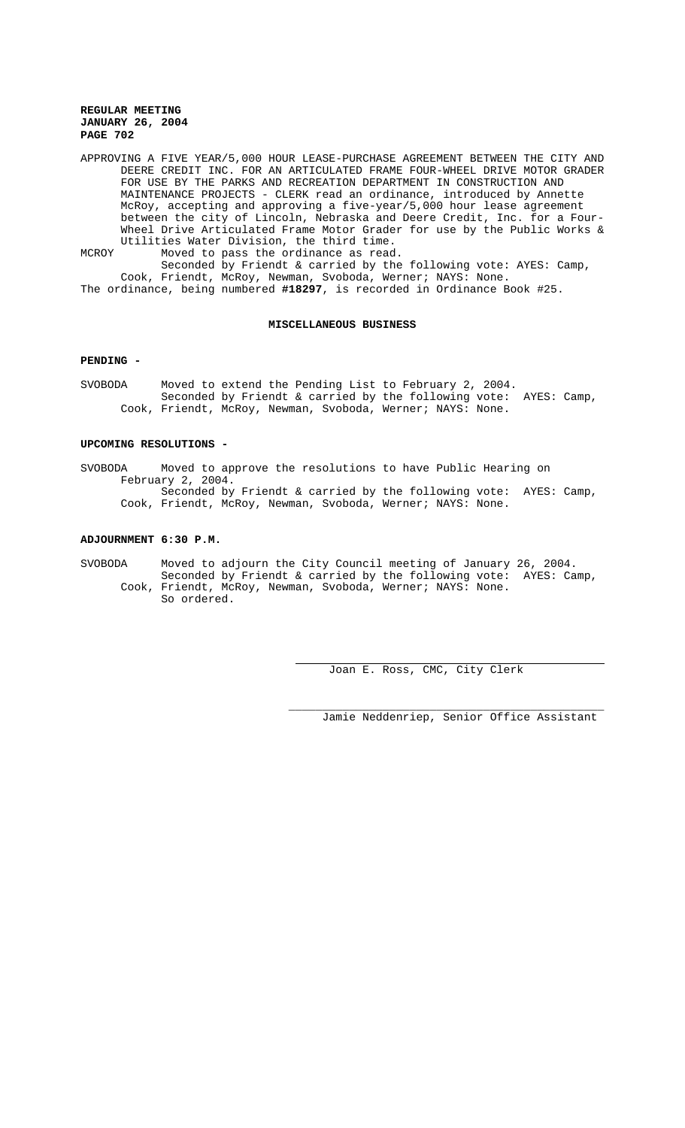APPROVING A FIVE YEAR/5,000 HOUR LEASE-PURCHASE AGREEMENT BETWEEN THE CITY AND DEERE CREDIT INC. FOR AN ARTICULATED FRAME FOUR-WHEEL DRIVE MOTOR GRADER FOR USE BY THE PARKS AND RECREATION DEPARTMENT IN CONSTRUCTION AND MAINTENANCE PROJECTS - CLERK read an ordinance, introduced by Annette McRoy, accepting and approving a five-year/5,000 hour lease agreement between the city of Lincoln, Nebraska and Deere Credit, Inc. for a Four-Wheel Drive Articulated Frame Motor Grader for use by the Public Works & Utilities Water Division, the third time. MCROY Moved to pass the ordinance as read.

Seconded by Friendt & carried by the following vote: AYES: Camp, Cook, Friendt, McRoy, Newman, Svoboda, Werner; NAYS: None. The ordinance, being numbered **#18297**, is recorded in Ordinance Book #25.

#### **MISCELLANEOUS BUSINESS**

## **PENDING -**

SVOBODA Moved to extend the Pending List to February 2, 2004. Seconded by Friendt & carried by the following vote: AYES: Camp, Cook, Friendt, McRoy, Newman, Svoboda, Werner; NAYS: None.

### **UPCOMING RESOLUTIONS -**

SVOBODA Moved to approve the resolutions to have Public Hearing on February 2, 2004. Seconded by Friendt & carried by the following vote: AYES: Camp, Cook, Friendt, McRoy, Newman, Svoboda, Werner; NAYS: None.

## **ADJOURNMENT 6:30 P.M.**

SVOBODA Moved to adjourn the City Council meeting of January 26, 2004. Seconded by Friendt & carried by the following vote: AYES: Camp, Cook, Friendt, McRoy, Newman, Svoboda, Werner; NAYS: None. So ordered.

Joan E. Ross, CMC, City Clerk

Jamie Neddenriep, Senior Office Assistant

\_\_\_\_\_\_\_\_\_\_\_\_\_\_\_\_\_\_\_\_\_\_\_\_\_\_\_\_\_\_\_\_\_\_\_\_\_\_\_\_\_\_\_\_\_\_\_